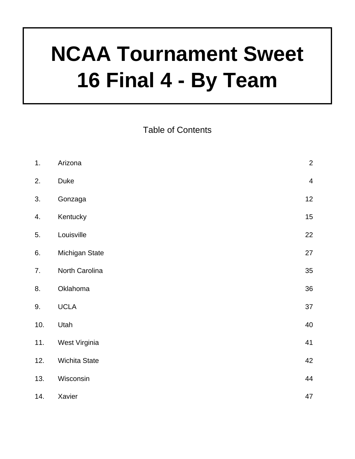# **NCAA Tournament Sweet 16 Final 4 - By Team**

Table of Contents

| 1.  | Arizona        | $\overline{2}$ |
|-----|----------------|----------------|
| 2.  | Duke           | $\overline{4}$ |
| 3.  | Gonzaga        | 12             |
| 4.  | Kentucky       | 15             |
| 5.  | Louisville     | 22             |
| 6.  | Michigan State | 27             |
| 7.  | North Carolina | 35             |
| 8.  | Oklahoma       | 36             |
| 9.  | <b>UCLA</b>    | 37             |
| 10. | Utah           | 40             |
| 11. | West Virginia  | 41             |
| 12. | Wichita State  | 42             |
| 13. | Wisconsin      | 44             |
| 14. | Xavier         | 47             |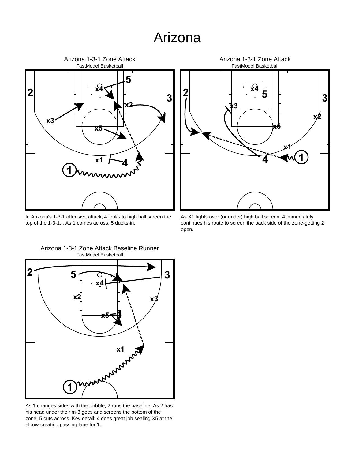#### Arizona



In Arizona's 1-3-1 offensive attack, 4 looks to high ball screen the top of the 1-3-1... As 1 comes across, 5 ducks-in.



As X1 fights over (or under) high ball screen, 4 immediately continues his route to screen the back side of the zone-getting 2 open.



FastModel Basketball Arizona 1-3-1 Zone Attack Baseline Runner

As 1 changes sides with the dribble, 2 runs the baseline. As 2 has his head under the rim-3 goes and screens the bottom of the zone, 5 cuts across. Key detail: 4 does great job sealing X5 at the elbow-creating passing lane for 1.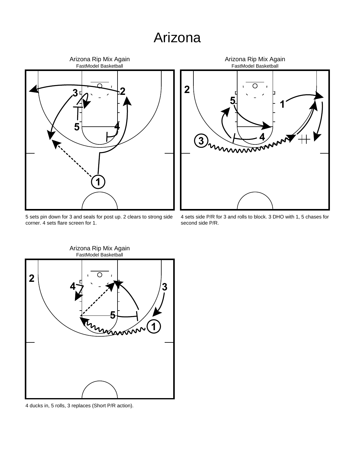#### Arizona



 sets pin down for 3 and seals for post up. 2 clears to strong side corner. 4 sets flare screen for 1.



 sets side P/R for 3 and rolls to block. 3 DHO with 1, 5 chases for second side P/R.



ducks in, 5 rolls, 3 replaces (Short P/R action).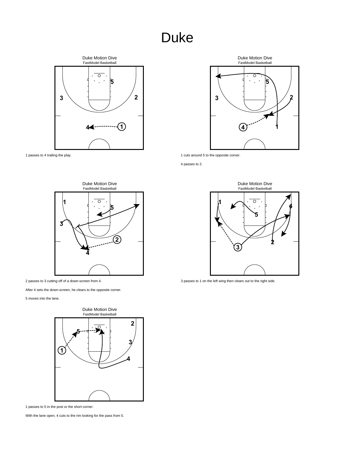

passes to 4 trailing the play.



cuts around 5 to the opposite corner.

passes to 2.





After 4 sets the down-screen, he clears to the opposite corner.

moves into the lane.



passes to 5 in the post or the short corner.

With the lane open, 4 cuts to the rim looking for the pass from 5.



passes to 1 on the left wing then clears out to the right side.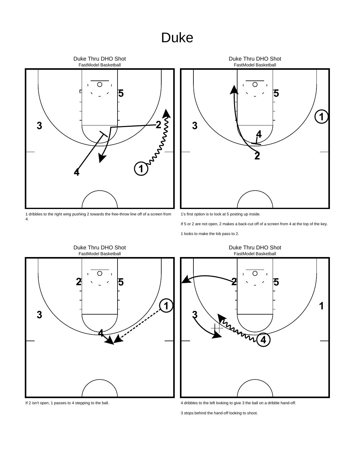

 dribbles to the right wing pushing 2 towards the free-throw line off of a screen from 4.



1's first option is to look at 5 posting up inside.

If 5 or 2 are not open, 2 makes a back-cut off of a screen from 4 at the top of the key.

looks to make the lob pass to 2.



If 2 isn't open, 1 passes to 4 stepping to the ball.



dribbles to the left looking to give 3 the ball on a dribble hand-off.

stops behind the hand-off looking to shoot.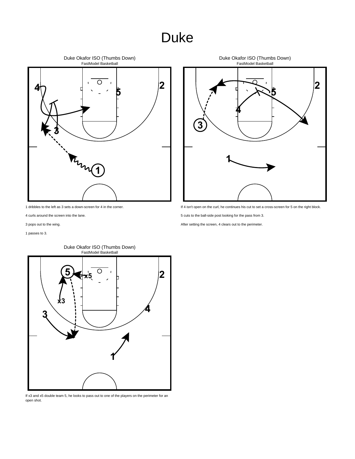

dribbles to the left as 3 sets a down-screen for 4 in the corner.

- curls around the screen into the lane.
- pops out to the wing.

passes to 3.



FastModel Basketball Duke Okafor ISO (Thumbs Down)

If x3 and x5 double team 5, he looks to pass out to one of the players on the perimeter for an open shot.



If 4 isn't open on the curl, he continues his cut to set a cross-screen for 5 on the right block.

cuts to the ball-side post looking for the pass from 3.

After setting the screen, 4 clears out to the perimeter.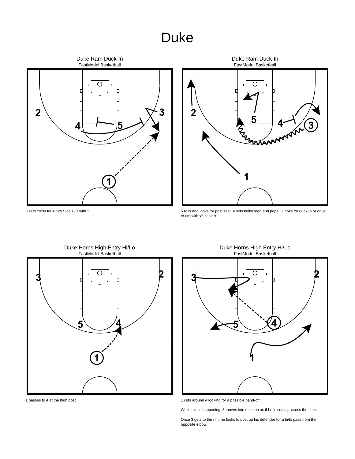



5 rolls and looks for post seal. 4 sets ballscreen and pops. 3 looks for duck-in or drive to rim with x5 sealed.



1 passes to 4 at the high post.

5 sets cross for 4 into Side P/R with 3.



1 cuts around 4 looking for a possible hand-off.

While this is happening, 3 moves into the lane as if he is cutting across the floor.

Once 3 gets to the rim, he looks to post up his defender for a hi/lo pass from the opposite elbow.

FastModel Basketball Duke Horns High Entry Hi/Lo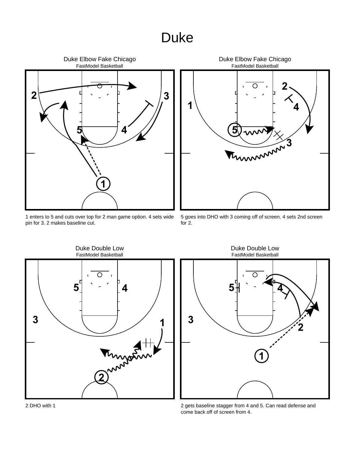

 enters to 5 and cuts over top for 2 man game option. 4 sets wide pin for 3. 2 makes baseline cut.



 goes into DHO with 3 coming off of screen. 4 sets 2nd screen for 2.





 gets baseline stagger from 4 and 5. Can read defense and come back off of screen from 4.

DHO with 1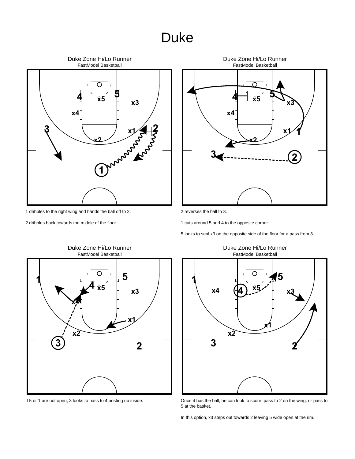

- 1 dribbles to the right wing and hands the ball off to 2.
- 2 dribbles back towards the middle of the floor.



2 reverses the ball to 3.

1 cuts around 5 and 4 to the opposite corner.

5 looks to seal x3 on the opposite side of the floor for a pass from 3.

Duke Zone Hi/Lo Runner



If 5 or 1 are not open, 3 looks to pass to 4 posting up inside.

FastModel Basketball Duke Zone Hi/Lo Runner



Once 4 has the ball, he can look to score, pass to 2 on the wing, or pass to 5 at the basket.

In this option, x3 steps out towards 2 leaving 5 wide open at the rim.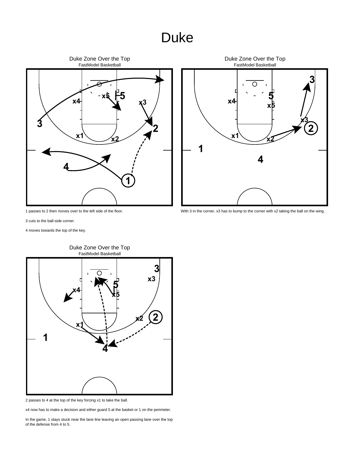

1 passes to 2 then moves over to the left side of the floor.



With 3 in the corner, x3 has to bump to the corner with x2 taking the ball on the wing.

3 cuts to the ball-side corner.

4 moves towards the top of the key.



FastModel Basketball Duke Zone Over the Top

2 passes to 4 at the top of the key forcing x1 to take the ball.

x4 now has to make a decision and either guard 5 at the basket or 1 on the perimeter.

In the game, 1 stays stuck near the lane line leaving an open passing lane over the top of the defense from 4 to 5.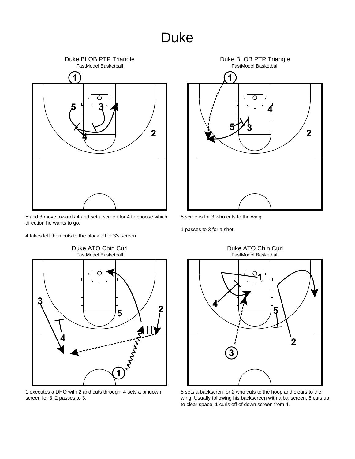

 and 3 move towards 4 and set a screen for 4 to choose which direction he wants to go.

fakes left then cuts to the block off of 3's screen.



 executes a DHO with 2 and cuts through. 4 sets a pindown screen for 3, 2 passes to 3.



screens for 3 who cuts to the wing.

passes to 3 for a shot.



 sets a backscren for 2 who cuts to the hoop and clears to the wing. Usually following his backscreen with a ballscreen, 5 cuts up to clear space, 1 curls off of down screen from 4.

# Duke ATO Chin Curl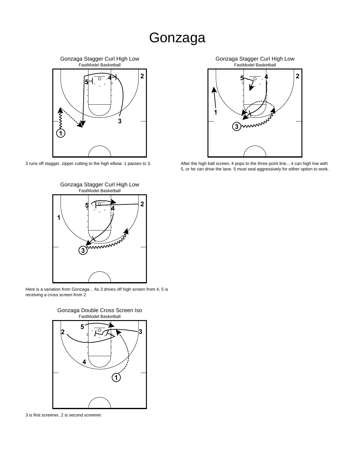#### Gonzaga



3 runs off stagger, zipper cutting to the high elbow. 1 passes to 3.



Here is a variation from Gonzaga... As 3 drives off high screen from 4, 5 is receiving a cross screen from 2.



3 is first screener, 2 is second screener.



After the high ball screen, 4 pops to the three point line... 4 can high low with 5, or he can drive the lane. 5 must seal aggressively for either option to work.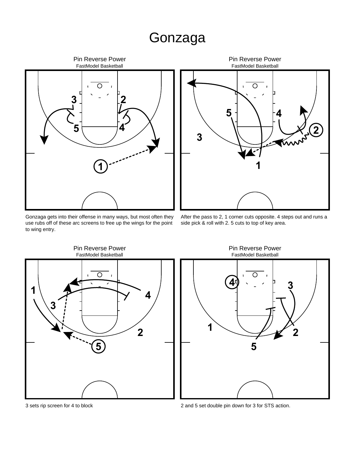# Gonzaga



Gonzaga gets into their offense in many ways, but most often they use rubs off of these arc screens to free up the wings for the point to wing entry.



After the pass to 2, 1 corner cuts opposite. 4 steps out and runs a side pick & roll with 2. 5 cuts to top of key area.



FastModel Basketball Pin Reverse Power



2 and 5 set double pin down for 3 for STS action.

3 sets rip screen for 4 to block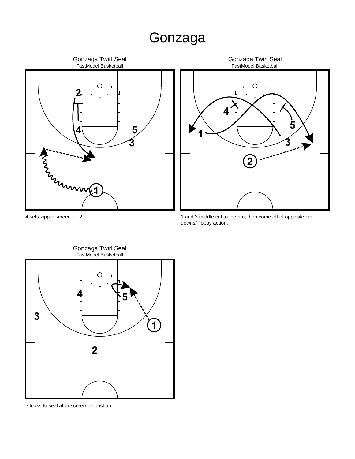# Gonzaga





 and 3 middle cut to the rim, then come off of opposite pin downs/ floppy action.



looks to seal after screen for post up.

sets zipper screen for 2.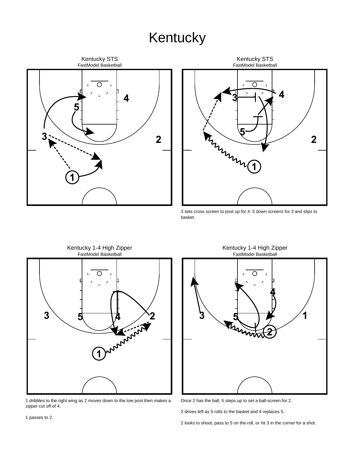



 sets cross screen to post up for 4. 5 down screens for 3 and slips to basket.

Kentucky 1-4 High Zipper



 dribbles to the right wing as 2 moves down to the low post then makes a zipper cut off of 4.

FastModel Basketball ◯  $\mathbf{M}_\mathbf{a}$ 

Once 2 has the ball, 5 steps up to set a ball-screen for 2.

drives left as 5 rolls to the basket and 4 replaces 5.

looks to shoot, pass to 5 on the roll, or hit 3 in the corner for a shot.

passes to 2.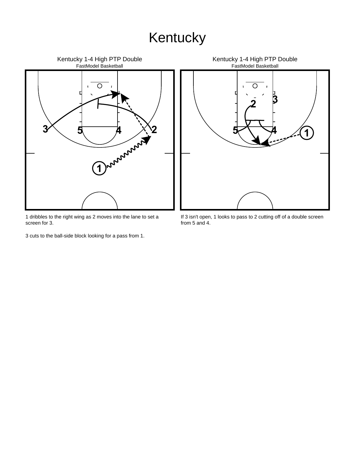

1 dribbles to the right wing as 2 moves into the lane to set a screen for 3.

3 cuts to the ball-side block looking for a pass from 1.

Kentucky 1-4 High PTP Double FastModel Basketball O **3 2 5 4 1**

If 3 isn't open, 1 looks to pass to 2 cutting off of a double screen from 5 and 4.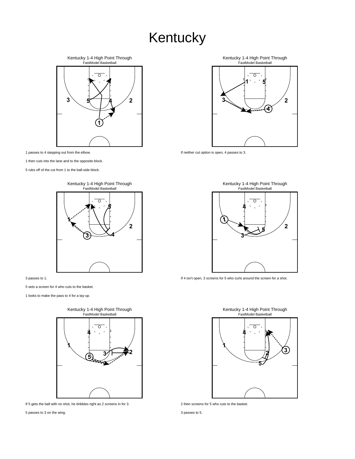Kentucky 1-4 High Point Through<br>FastModel Basketball  $\overline{\circ}$  **5 4 2** 

passes to 4 stepping out from the elbow.

then cuts into the lane and to the opposite block.

rubs off of the cut from 1 to the ball-side block.



passes to 1.

sets a screen for 4 who cuts to the basket.

looks to make the pass to 4 for a lay-up.



If 5 gets the ball with no shot, he dribbles right as 2 screens in for 3.

passes to 3 on the wing.

Kentucky 1-4 High Point Through<br>FastModel Basketball  $\overline{\circ}$  



If neither cut option is open, 4 passes to 3.



If 4 isn't open, 3 screens for 5 who curls around the screen for a shot.





passes to 5.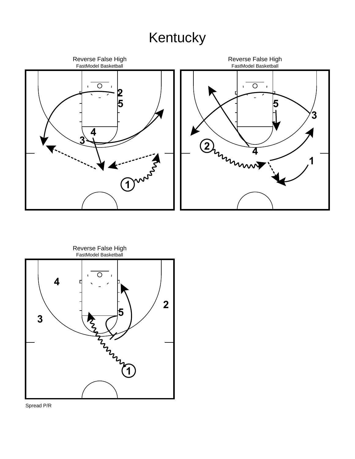



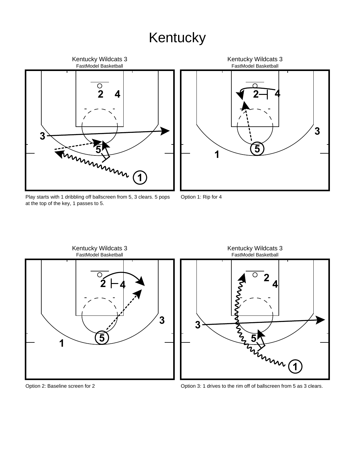

**5 1** Option 1: Rip for 4

FastModel Basketball Kentucky Wildcats 3

**2**

**4**

**3**

Play starts with 1 dribbling off ballscreen from 5, 3 clears. 5 pops at the top of the key, 1 passes to 5.



FastModel Basketball Kentucky Wildcats 3 **2 3 4 5 1**

Option 2: Baseline screen for 2

Option 3: 1 drives to the rim off of ballscreen from 5 as 3 clears.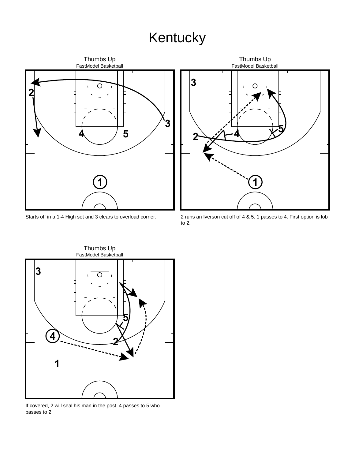

Starts off in a 1-4 High set and 3 clears to overload corner.



2 runs an Iverson cut off of 4 & 5. 1 passes to 4. First option is lob to 2.



If covered, 2 will seal his man in the post. 4 passes to 5 who passes to 2.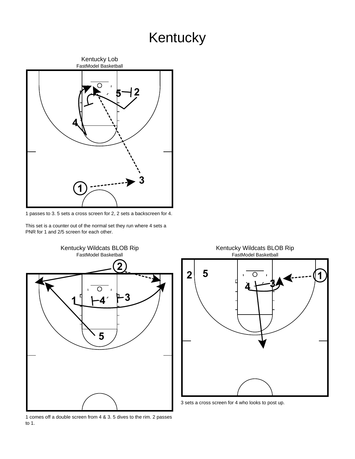

1 passes to 3. 5 sets a cross screen for 2, 2 sets a backscreen for 4.

This set is a counter out of the normal set they run where 4 sets a PNR for 1 and 2/5 screen for each other.



1 comes off a double screen from 4 & 3. 5 dives to the rim. 2 passes to 1.



3 sets a cross screen for 4 who looks to post up.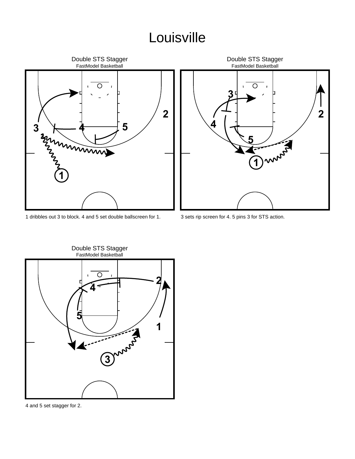

dribbles out 3 to block. 4 and 5 set double ballscreen for 1.



sets rip screen for 4. 5 pins 3 for STS action.



Double STS Stagger

and 5 set stagger for 2.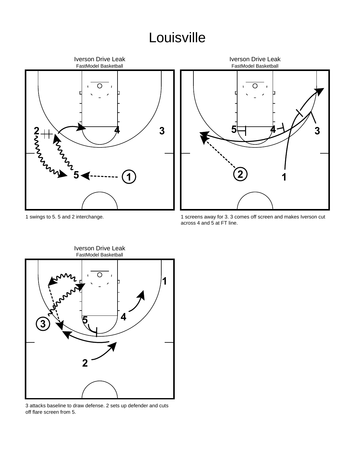



1 screens away for 3. 3 comes off screen and makes Iverson cut across 4 and 5 at FT line.



3 attacks baseline to draw defense. 2 sets up defender and cuts off flare screen from 5.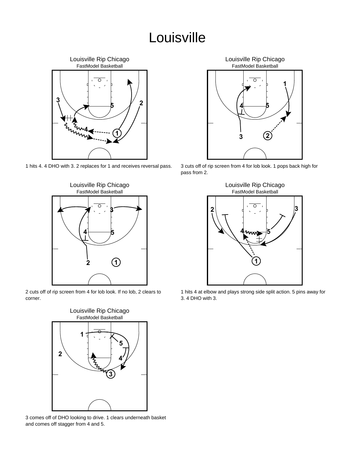Louisville Rip Chicago FastModel Basketball ∩ **3 2 5 4 1**

1 hits 4. 4 DHO with 3. 2 replaces for 1 and receives reversal pass.



2 cuts off of rip screen from 4 for lob look. If no lob, 2 clears to corner.



3 comes off of DHO looking to drive. 1 clears underneath basket and comes off stagger from 4 and 5.



3 cuts off of rip screen from 4 for lob look. 1 pops back high for pass from 2.



1 hits 4 at elbow and plays strong side split action. 5 pins away for 3. 4 DHO with 3.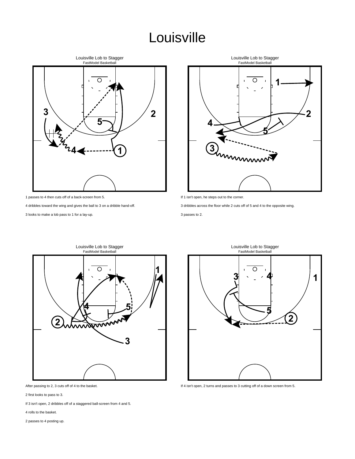

passes to 4 then cuts off of a back-screen from 5.

dribbles toward the wing and gives the ball to 3 on a dribble hand-off.

looks to make a lob pass to 1 for a lay-up.



If 1 isn't open, he steps out to the corner.

dribbles across the floor while 2 cuts off of 5 and 4 to the opposite wing.

passes to 2.



After passing to 2, 3 cuts off of 4 to the basket.

first looks to pass to 3.

If 3 isn't open, 2 dribbles off of a staggered ball-screen from 4 and 5.

rolls to the basket.

passes to 4 posting up.



If 4 isn't open, 2 turns and passes to 3 cutting off of a down screen from 5.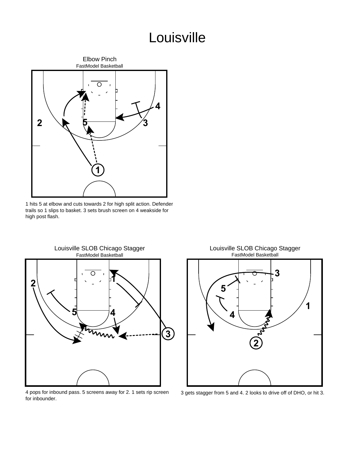

 hits 5 at elbow and cuts towards 2 for high split action. Defender trails so 1 slips to basket. 3 sets brush screen on 4 weakside for high post flash.



 pops for inbound pass. 5 screens away for 2. 1 sets rip screen for inbounder.

FastModel Basketball Louisville SLOB Chicago Stagger



gets stagger from 5 and 4. 2 looks to drive off of DHO, or hit 3.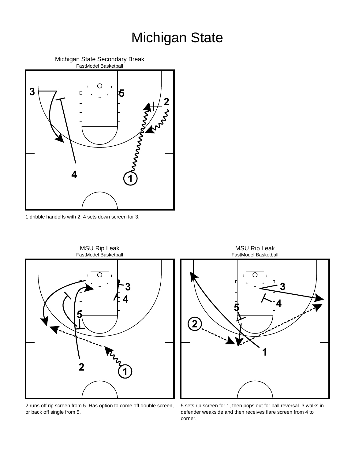

dribble handoffs with 2. 4 sets down screen for 3.



 runs off rip screen from 5. Has option to come off double screen, or back off single from 5.

 sets rip screen for 1, then pops out for ball reversal. 3 walks in defender weakside and then receives flare screen from 4 to corner.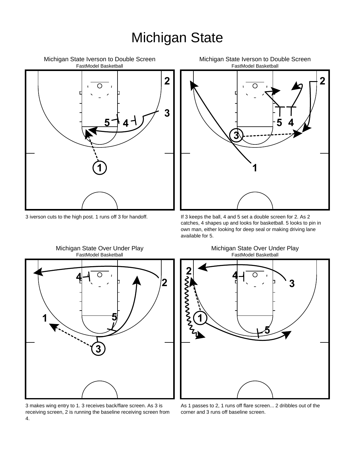

3 iverson cuts to the high post. 1 runs off 3 for handoff.



If 3 keeps the ball, 4 and 5 set a double screen for 2. As 2 catches, 4 shapes up and looks for basketball. 5 looks to pin in own man, either looking for deep seal or making driving lane available for 5.



Michigan State Over Under Play

3 makes wing entry to 1. 3 receives back/flare screen. As 3 is receiving screen, 2 is running the baseline receiving screen from 4.

FastModel Basketball Michigan State Over Under Play



As 1 passes to 2, 1 runs off flare screen... 2 dribbles out of the corner and 3 runs off baseline screen.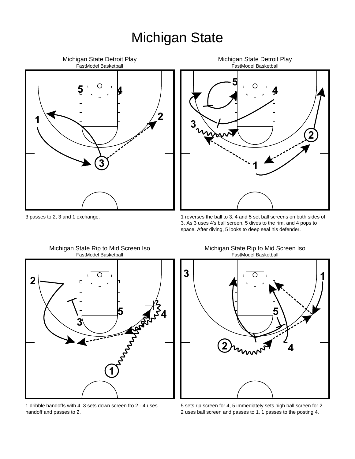

FastModel Basketball Michigan State Detroit Play 

passes to 2, 3 and 1 exchange.

 reverses the ball to 3. 4 and 5 set ball screens on both sides of 3. As 3 uses 4's ball screen, 5 dives to the rim, and 4 pops to space. After diving, 5 looks to deep seal his defender.



dribble handoffs with 4. 3 sets down screen fro 2 - 4 uses

handoff and passes to 2.

FastModel Basketball Michigan State Rip to Mid Screen Iso

FastModel Basketball Michigan State Rip to Mid Screen Iso



 sets rip screen for 4, 5 immediately sets high ball screen for 2... uses ball screen and passes to 1, 1 passes to the posting 4.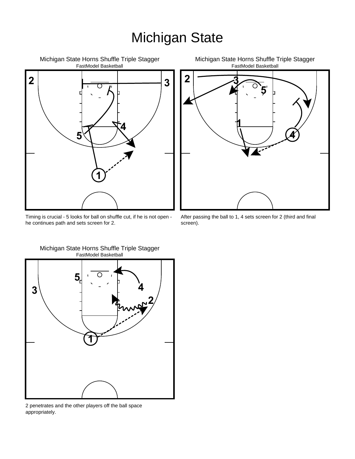

Timing is crucial - 5 looks for ball on shuffle cut, if he is not open he continues path and sets screen for 2.



After passing the ball to 1, 4 sets screen for 2 (third and final screen).



FastModel Basketball Michigan State Horns Shuffle Triple Stagger

2 penetrates and the other players off the ball space appropriately.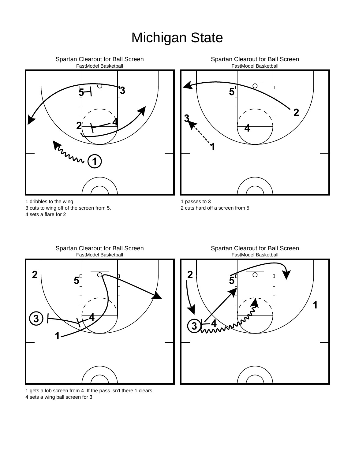



#### FastModel Basketball Spartan Clearout for Ball Screen



 gets a lob screen from 4. If the pass isn't there 1 clears sets a wing ball screen for 3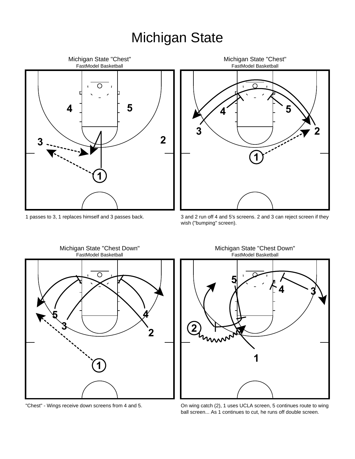

1 passes to 3, 1 replaces himself and 3 passes back.



3 and 2 run off 4 and 5's screens. 2 and 3 can reject screen if they wish ("bumping" screen).



"Chest" - Wings receive down screens from 4 and 5.

FastModel Basketball Michigan State "Chest Down"



On wing catch (2), 1 uses UCLA screen, 5 continues route to wing ball screen... As 1 continues to cut, he runs off double screen.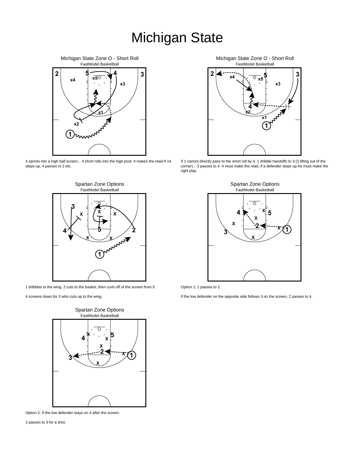

4 sprints into a high ball screen... 4 short rolls into the high post. 4 makes the read-If x4 steps up, 4 passes to 2 etc.



1 dribbles to the wing. 2 cuts to the basket, then curls off of the screen from 5.

4 screens down for 3 who cuts up to the wing.



Option 2: If the low defender stays on 4 after the screen.

2 passes to 3 for a shot.



If 1 cannot directly pass to the short roll by 4, 1 dribble handoffs to 3 (3 lifting out of the corner)... 3 passes to 4. 4 must make the read, if a defender steps up-he must make the right play.



Option 1: 1 passes to 2.

If the low defender on the opposite side follows 3 on the screen, 2 passes to 4.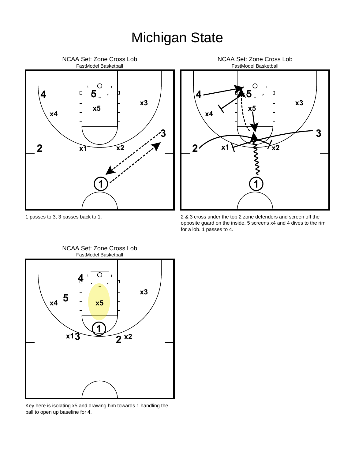



2 & 3 cross under the top 2 zone defenders and screen off the opposite guard on the inside. 5 screens x4 and 4 dives to the rim for a lob. 1 passes to 4.



FastModel Basketball NCAA Set: Zone Cross Lob

Key here is isolating x5 and drawing him towards 1 handling the ball to open up baseline for 4.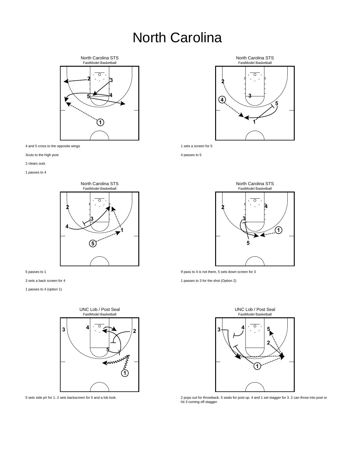# North Carolina



and 5 cross to the opposite wings

3cuts to the high post

clears outs

passes to 4



passes to 1

sets a back screen for 4

passes to 4 (option 1)



sets side p/r for 1. 2 sets backscreen for 5 and a lob look.



sets a screen for 5

passes to 5



If pass to 4 is not there, 5 sets down screen for 3

passes to 3 for the shot (Option 2)



 pops out for throwback. 5 seals for post up. 4 and 1 set stagger for 3. 2 can throw into post or hit 3 coming off stagger.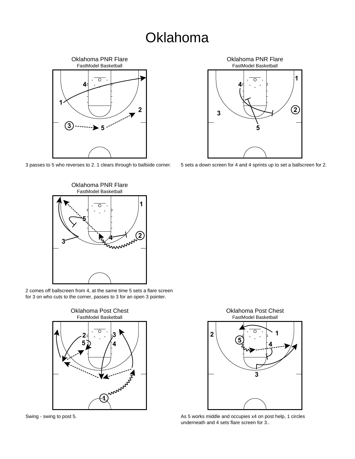#### **Oklahoma**



passes to 5 who reverses to 2. 1 clears through to ballside corner.



sets a down screen for 4 and 4 sprints up to set a ballscreen for 2.



 comes off ballscreen from 4, at the same time 5 sets a flare screen for 3 on who cuts to the corner, passes to 3 for an open 3 pointer.



Swing - swing to post 5.



As 5 works middle and occupies x4 on post help, 1 circles underneath and 4 sets flare screen for 3..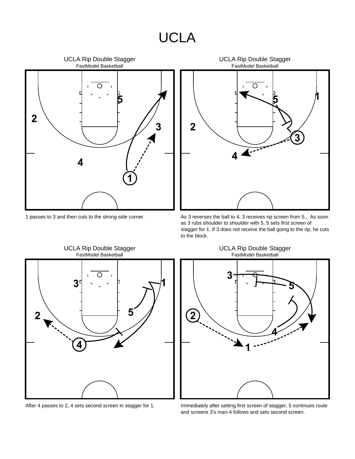#### UCLA



1 passes to 3 and then cuts to the strong side corner.



As 3 reverses the ball to 4, 3 receives rip screen from 5... As soon as 3 rubs shoulder to shoulder with 5, 5 sets first screen of stagger for 1. If 3 does not receive the ball going to the rip, he cuts to the block.



FastModel Basketball UCLA Rip Double Stagger



Immediately after setting first screen of stagger, 5 continues route and screens 3's man-4 follows and sets second screen.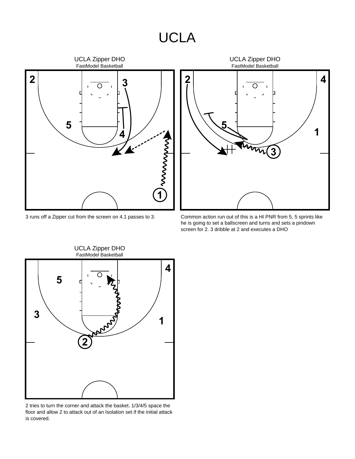#### UCLA



3 runs off a Zipper cut from the screen on 4.1 passes to 3.



Common action run out of this is a HI PNR from 5, 5 sprints like he is going to set a ballscreen and turns and sets a pindown screen for 2. 3 dribble at 2 and executes a DHO



2 tries to turn the corner and attack the basket. 1/3/4/5 space the floor and allow 2 to attack out of an Isolation set if the initial attack is covered.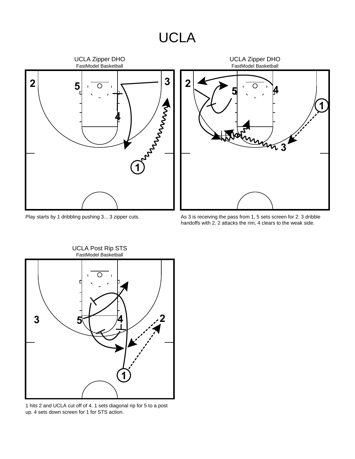#### UCLA



Play starts by 1 dribbling pushing 3... 3 zipper cuts.

As 3 is receiving the pass from 1, 5 sets screen for 2. 3 dribble handoffs with 2. 2 attacks the rim, 4 clears to the weak side.



1 hits 2 and UCLA cut off of 4. 1 sets diagonal rip for 5 to a post up. 4 sets down screen for 1 for STS action.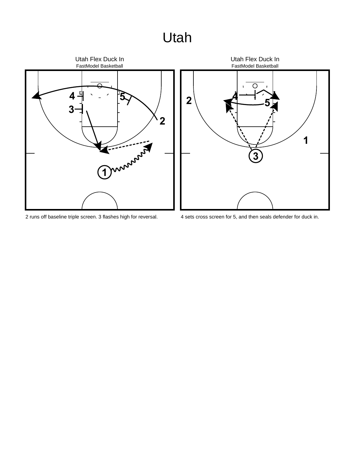# Utah



runs off baseline triple screen. 3 flashes high for reversal.



sets cross screen for 5, and then seals defender for duck in.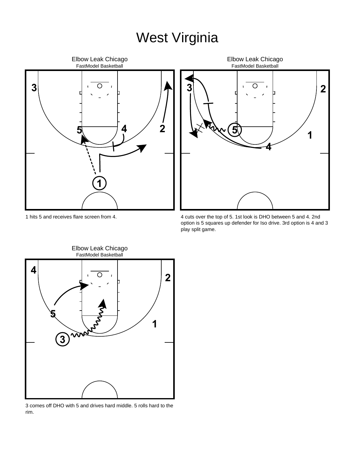# West Virginia





 cuts over the top of 5. 1st look is DHO between 5 and 4. 2nd option is 5 squares up defender for Iso drive. 3rd option is 4 and 3 play split game.

hits 5 and receives flare screen from 4.



 comes off DHO with 5 and drives hard middle. 5 rolls hard to the rim.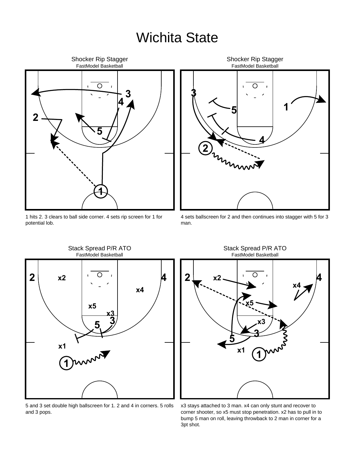#### Wichita State



1 hits 2. 3 clears to ball side corner. 4 sets rip screen for 1 for potential lob.



4 sets ballscreen for 2 and then continues into stagger with 5 for 3 man.



5 and 3 set double high ballscreen for 1. 2 and 4 in corners. 5 rolls

and 3 pops.

Stack Spread P/R ATO



x3 stays attached to 3 man. x4 can only stunt and recover to corner shooter, so x5 must stop penetration. x2 has to pull in to bump 5 man on roll, leaving throwback to 2 man in corner for a 3pt shot.

Stack Spread P/R ATO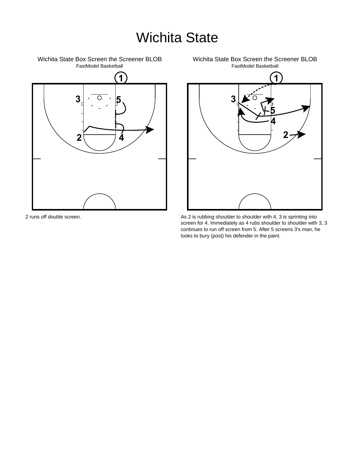# Wichita State



2 runs off double screen.



As 2 is rubbing shoulder to shoulder with 4, 3 is sprinting into screen for 4. Immediately as 4 rubs shoulder to shoulder with 3, 3 continues to run off screen from 5. After 5 screens 3's man, he looks to bury (post) his defender in the paint.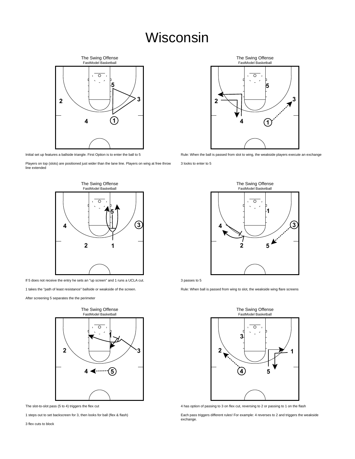#### Wisconsin



Initial set up features a ballside triangle. First Option is to enter the ball to 5

Players on top (slots) are positioned just wider than the lane line. Players on wing at free throw line extended



If 5 does not receive the entry he sets an "up screen" and 1 runs a UCLA cut.

1 takes the "path of least resistance" ballside or weakside of the screen.

After screening 5 separates the the perimeter





<sup>1</sup> steps out to set backscreen for 3, then looks for ball (flex & flash)



Rule: When the ball is passed from slot to wing, the weakside players execute an exchange

3 looks to enter to 5



3 passes to 5

Rule: When ball is passed from wing to slot, the weakside wing flare screens



4 has option of passing to 3 on flex cut, reversing to 2 or passing to 1 on the flash

Each pass triggers different rules! For example: 4 reverses to 2 and triggers the weakside exchange.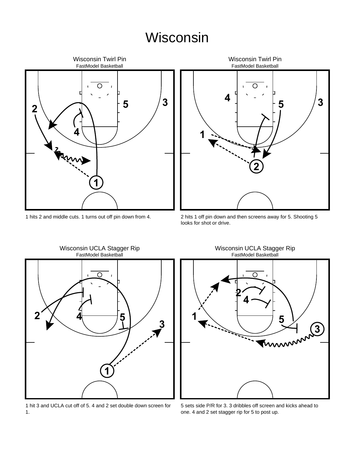#### Wisconsin



hits 2 and middle cuts. 1 turns out off pin down from 4.



 hits 1 off pin down and then screens away for 5. Shooting 5 looks for shot or drive.



Wisconsin UCLA Stagger Rip

 hit 3 and UCLA cut off of 5. 4 and 2 set double down screen for 1.

FastModel Basketball Wisconsin UCLA Stagger Rip



 sets side P/R for 3. 3 dribbles off screen and kicks ahead to one. 4 and 2 set stagger rip for 5 to post up.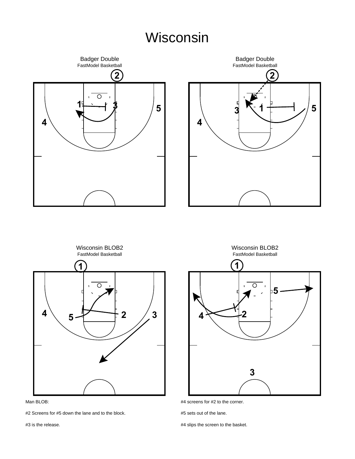#### Wisconsin



#2 Screens for #5 down the lane and to the block.

#3 is the release.

#4 slips the screen to the basket.

#5 sets out of the lane.